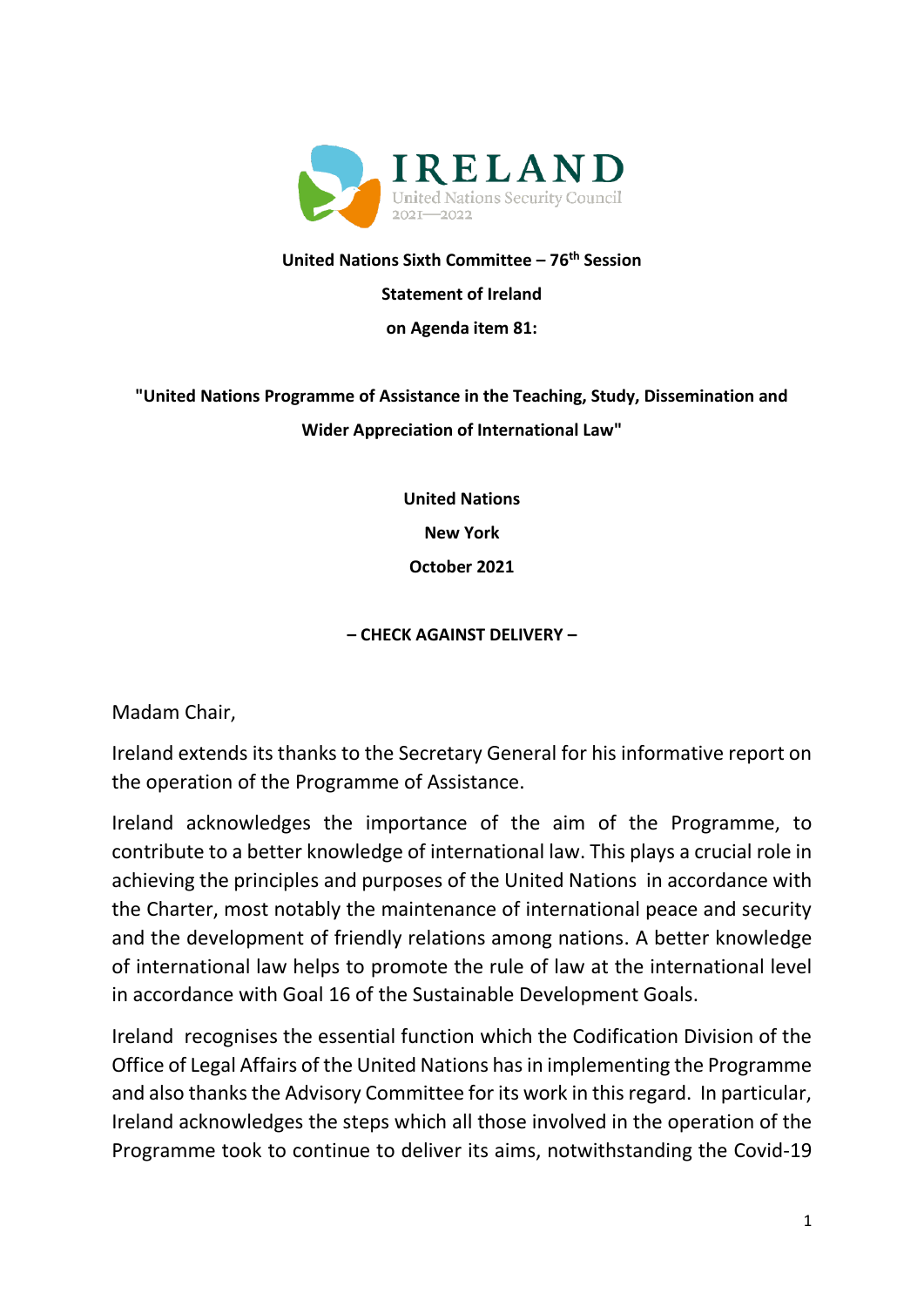

## **United Nations Sixth Committee – 76 th Session**

#### **Statement of Ireland**

#### **on Agenda item 81:**

# **"United Nations Programme of Assistance in the Teaching, Study, Dissemination and Wider Appreciation of International Law"**

**United Nations New York October 2021**

### **– CHECK AGAINST DELIVERY –**

Madam Chair,

Ireland extends its thanks to the Secretary General for his informative report on the operation of the Programme of Assistance.

Ireland acknowledges the importance of the aim of the Programme, to contribute to a better knowledge of international law. This plays a crucial role in achieving the principles and purposes of the United Nations in accordance with the Charter, most notably the maintenance of international peace and security and the development of friendly relations among nations. A better knowledge of international law helps to promote the rule of law at the international level in accordance with Goal 16 of the Sustainable Development Goals.

Ireland recognises the essential function which the Codification Division of the Office of Legal Affairs of the United Nations has in implementing the Programme and also thanks the Advisory Committee for its work in this regard. In particular, Ireland acknowledges the steps which all those involved in the operation of the Programme took to continue to deliver its aims, notwithstanding the Covid-19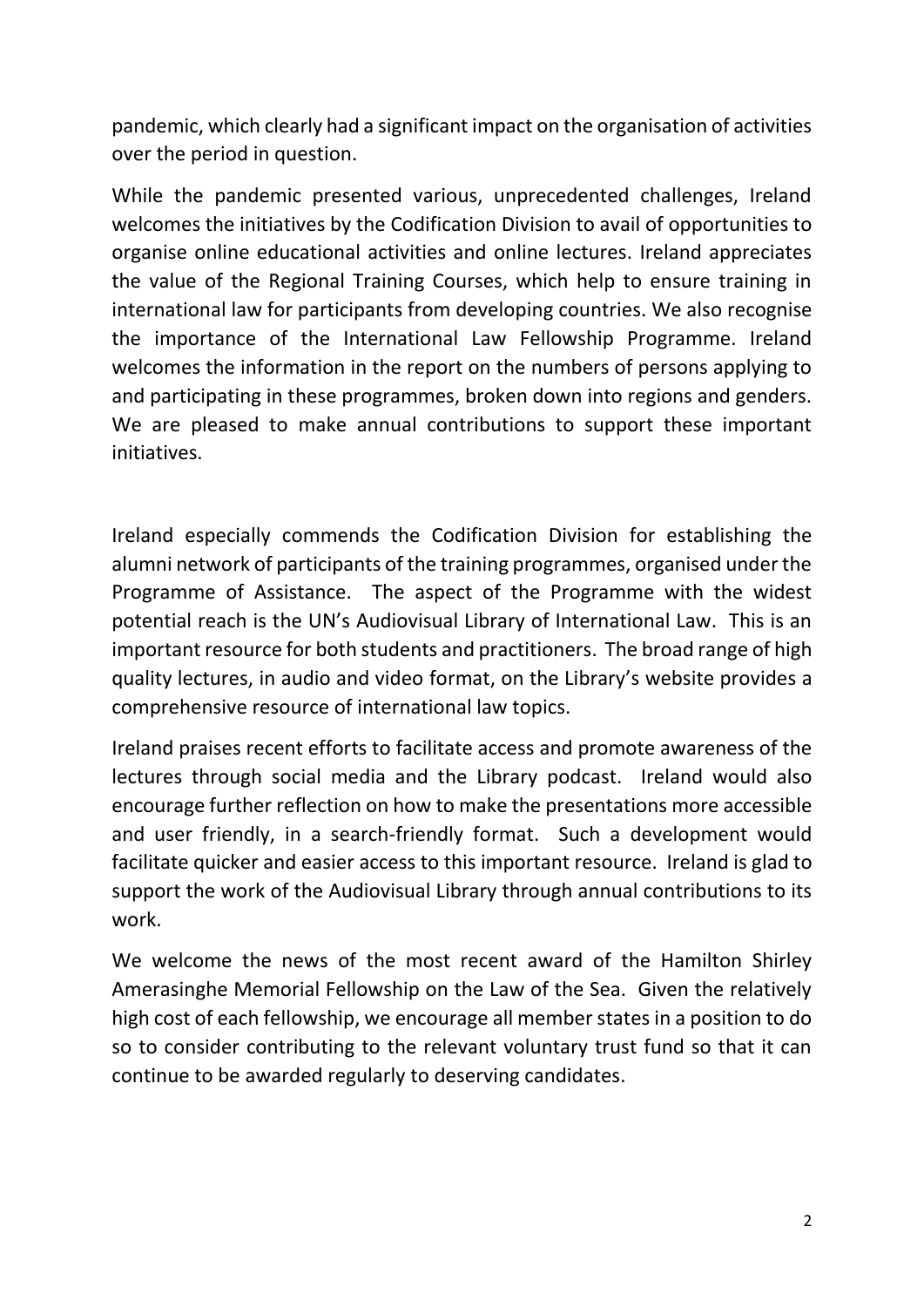pandemic, which clearly had a significant impact on the organisation of activities over the period in question.

While the pandemic presented various, unprecedented challenges, Ireland welcomes the initiatives by the Codification Division to avail of opportunities to organise online educational activities and online lectures. Ireland appreciates the value of the Regional Training Courses, which help to ensure training in international law for participants from developing countries. We also recognise the importance of the International Law Fellowship Programme. Ireland welcomes the information in the report on the numbers of persons applying to and participating in these programmes, broken down into regions and genders. We are pleased to make annual contributions to support these important initiatives.

Ireland especially commends the Codification Division for establishing the alumni network of participants of the training programmes, organised under the Programme of Assistance. The aspect of the Programme with the widest potential reach is the UN's Audiovisual Library of International Law. This is an important resource for both students and practitioners. The broad range of high quality lectures, in audio and video format, on the Library's website provides a comprehensive resource of international law topics.

Ireland praises recent efforts to facilitate access and promote awareness of the lectures through social media and the Library podcast. Ireland would also encourage further reflection on how to make the presentations more accessible and user friendly, in a search-friendly format. Such a development would facilitate quicker and easier access to this important resource. Ireland is glad to support the work of the Audiovisual Library through annual contributions to its work.

We welcome the news of the most recent award of the Hamilton Shirley Amerasinghe Memorial Fellowship on the Law of the Sea. Given the relatively high cost of each fellowship, we encourage all member states in a position to do so to consider contributing to the relevant voluntary trust fund so that it can continue to be awarded regularly to deserving candidates.